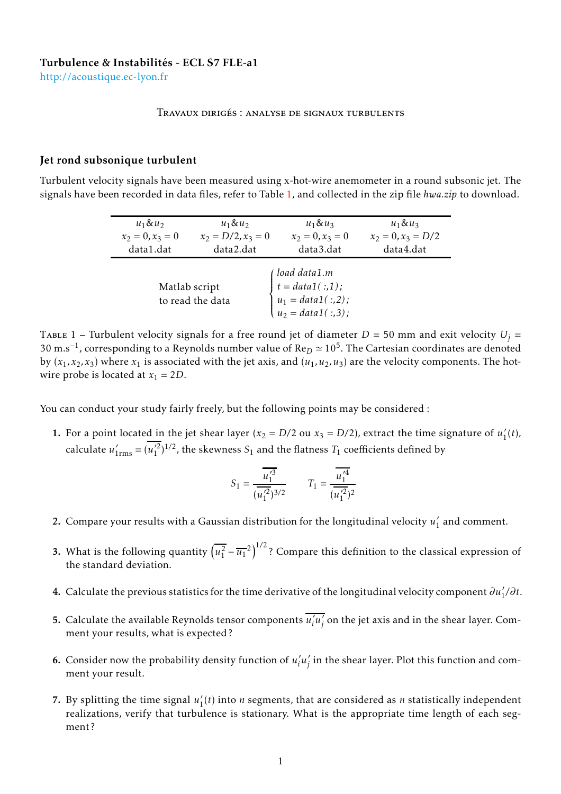<http://acoustique.ec-lyon.fr>

## Travaux dirigés : analyse de signaux turbulents

## Jet rond subsonique turbulent

Turbulent velocity signals have been measured using x-hot-wire anemometer in a round subsonic jet. The signals have been recorded in data files, refer to Table [1,](#page-0-0) and collected in the zip file *hwa.zip* to download.

| $u_1 \& u_2$                      | $u_1 \& u_2$         | $u_1 \& u_3$                                                                                                               | $u_1 \& u_3$         |
|-----------------------------------|----------------------|----------------------------------------------------------------------------------------------------------------------------|----------------------|
| $x_2 = 0, x_3 = 0$                | $x_2 = D/2, x_3 = 0$ | $x_2 = 0, x_3 = 0$                                                                                                         | $x_2 = 0, x_3 = D/2$ |
| data1.dat                         | data2.dat            | data3.dat                                                                                                                  | data4.dat            |
| Matlab script<br>to read the data |                      | $\left\{ \begin{aligned} load\ data1.m \\ t = data1(:,1); \\ u_1 = data1(:,2); \\ u_2 = data1(:,3); \end{aligned} \right.$ |                      |

<span id="page-0-0"></span>TABLE 1 – Turbulent velocity signals for a free round jet of diameter  $D = 50$  mm and exit velocity  $U_i =$ 30 m.s<sup>-1</sup>, corresponding to a Reynolds number value of Re<sub>D</sub> ≈ 10<sup>5</sup>. The Cartesian coordinates are denoted by  $(x_1, x_2, x_3)$  where  $x_1$  is associated with the jet axis, and  $(u_1, u_2, u_3)$  are the velocity components. The hotwire probe is located at  $x_1 = 2D$ .

You can conduct your study fairly freely, but the following points may be considered :

1. For a point located in the jet shear layer ( $x_2 = D/2$  ou  $x_3 = D/2$ ), extract the time signature of  $u_1$ <sup>1</sup>  $l_1'(t)$ , calculate  $u'_{1\rm rms} = (u'^2_1)^{1/2}$ , the skewness  $S_1$  and the flatness  $T_1$  coefficients defined by

$$
S_1 = \frac{\overline{u_1^{\prime 3}}}{(\overline{u_1^{\prime 2}})^{3/2}} \qquad T_1 = \frac{\overline{u_1^{\prime 4}}}{(\overline{u_1^{\prime 2}})^2}
$$

- 2. Compare your results with a Gaussian distribution for the longitudinal velocity  $u_1$ <sup>1</sup>  $\frac{1}{1}$  and comment.
- 3. What is the following quantity  $\left(\overline{u_1^2} \overline{u_1}^2\right)^{1/2}$ ? Compare this definition to the classical expression of the standard deviation.
- **4.** Calculate the previous statistics for the time derivative of the longitudinal velocity component  $\partial u'_1/\partial t$ .
- 5. Calculate the available Reynolds tensor components  $\overline{u_i^2}$ *i u* ′  $j'$  on the jet axis and in the shear layer. Comment your results, what is expected ?
- **6.** Consider now the probability density function of  $u_i'$ *i u* ′  $_j^\prime$  in the shear layer. Plot this function and comment your result.
- 7. By splitting the time signal  $u_1'$  $T_1(t)$  into *n* segments, that are considered as *n* statistically independent realizations, verify that turbulence is stationary. What is the appropriate time length of each segment ?